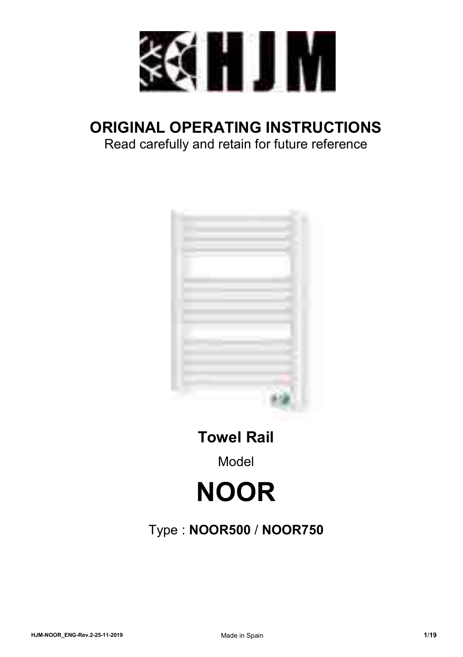

# **ORIGINAL OPERATING INSTRUCTIONS**

Read carefully and retain for future reference



**Towel Rail** 

Model

# **NOOR**

## Type : **NOOR500** / **NOOR750**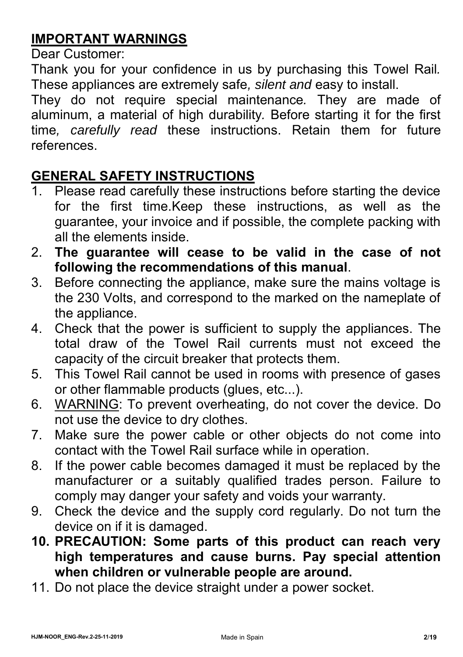### **IMPORTANT WARNINGS**

Dear Customer:

Thank you for your confidence in us by purchasing this Towel Rail*.*  These appliances are extremely safe*, silent and* easy to install.

They do not require special maintenance*.* They are made of aluminum, a material of high durability*.* Before starting it for the first time*, carefully read* these instructions. Retain them for future references.

### **GENERAL SAFETY INSTRUCTIONS**

- 1. Please read carefully these instructions before starting the device for the first time.Keep these instructions, as well as the guarantee, your invoice and if possible, the complete packing with all the elements inside.
- 2. **The guarantee will cease to be valid in the case of not following the recommendations of this manual**.
- 3. Before connecting the appliance, make sure the mains voltage is the 230 Volts, and correspond to the marked on the nameplate of the appliance.
- 4. Check that the power is sufficient to supply the appliances. The total draw of the Towel Rail currents must not exceed the capacity of the circuit breaker that protects them.
- 5. This Towel Rail cannot be used in rooms with presence of gases or other flammable products (glues, etc...).
- 6. WARNING: To prevent overheating, do not cover the device. Do not use the device to dry clothes.
- 7. Make sure the power cable or other objects do not come into contact with the Towel Rail surface while in operation.
- 8. If the power cable becomes damaged it must be replaced by the manufacturer or a suitably qualified trades person. Failure to comply may danger your safety and voids your warranty.
- 9. Check the device and the supply cord regularly. Do not turn the device on if it is damaged.
- **10. PRECAUTION: Some parts of this product can reach very high temperatures and cause burns. Pay special attention when children or vulnerable people are around.**
- 11. Do not place the device straight under a power socket.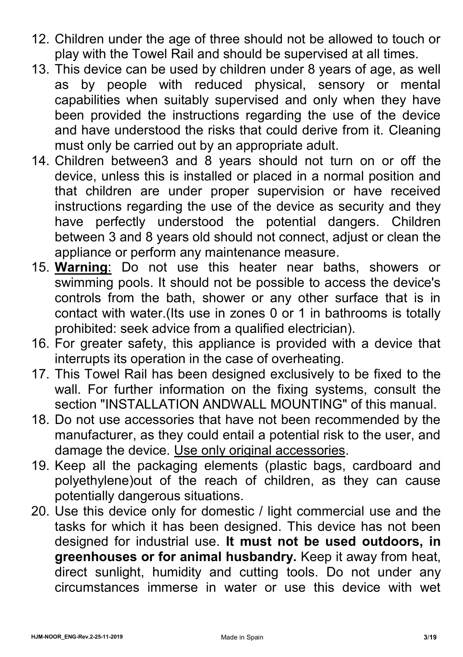- 12. Children under the age of three should not be allowed to touch or play with the Towel Rail and should be supervised at all times.
- 13. This device can be used by children under 8 years of age, as well as by people with reduced physical, sensory or mental capabilities when suitably supervised and only when they have been provided the instructions regarding the use of the device and have understood the risks that could derive from it. Cleaning must only be carried out by an appropriate adult.
- 14. Children between3 and 8 years should not turn on or off the device, unless this is installed or placed in a normal position and that children are under proper supervision or have received instructions regarding the use of the device as security and they have perfectly understood the potential dangers. Children between 3 and 8 years old should not connect, adjust or clean the appliance or perform any maintenance measure.
- 15. **Warning**: Do not use this heater near baths, showers or swimming pools. It should not be possible to access the device's controls from the bath, shower or any other surface that is in contact with water.(Its use in zones 0 or 1 in bathrooms is totally prohibited: seek advice from a qualified electrician).
- 16. For greater safety, this appliance is provided with a device that interrupts its operation in the case of overheating.
- 17. This Towel Rail has been designed exclusively to be fixed to the wall. For further information on the fixing systems, consult the section "INSTALLATION ANDWALL MOUNTING" of this manual.
- 18. Do not use accessories that have not been recommended by the manufacturer, as they could entail a potential risk to the user, and damage the device. Use only original accessories.
- 19. Keep all the packaging elements (plastic bags, cardboard and polyethylene)out of the reach of children, as they can cause potentially dangerous situations.
- 20. Use this device only for domestic / light commercial use and the tasks for which it has been designed. This device has not been designed for industrial use. **It must not be used outdoors, in greenhouses or for animal husbandry.** Keep it away from heat, direct sunlight, humidity and cutting tools. Do not under any circumstances immerse in water or use this device with wet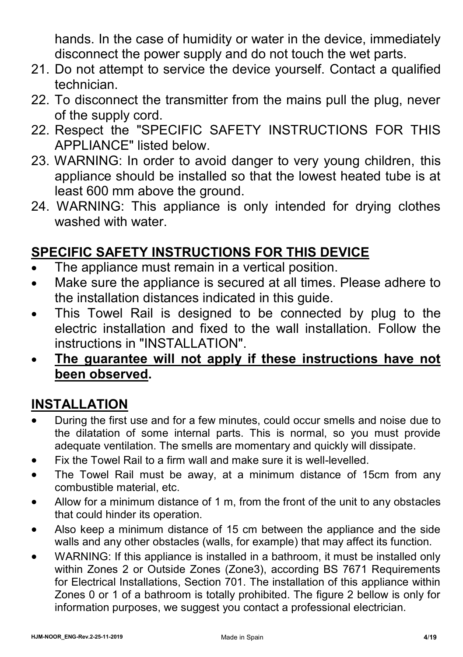hands. In the case of humidity or water in the device, immediately disconnect the power supply and do not touch the wet parts.

- 21. Do not attempt to service the device yourself. Contact a qualified technician.
- 22. To disconnect the transmitter from the mains pull the plug, never of the supply cord.
- 22. Respect the "SPECIFIC SAFETY INSTRUCTIONS FOR THIS APPLIANCE" listed below.
- 23. WARNING: In order to avoid danger to very young children, this appliance should be installed so that the lowest heated tube is at least 600 mm above the ground.
- 24. WARNING: This appliance is only intended for drying clothes washed with water.

## **SPECIFIC SAFETY INSTRUCTIONS FOR THIS DEVICE**

- The appliance must remain in a vertical position.
- Make sure the appliance is secured at all times. Please adhere to the installation distances indicated in this guide.
- This Towel Rail is designed to be connected by plug to the electric installation and fixed to the wall installation. Follow the instructions in "INSTALLATION".
- **The guarantee will not apply if these instructions have not been observed.**

### **INSTALLATION**

- During the first use and for a few minutes, could occur smells and noise due to the dilatation of some internal parts. This is normal, so you must provide adequate ventilation. The smells are momentary and quickly will dissipate.
- Fix the Towel Rail to a firm wall and make sure it is well-levelled.
- The Towel Rail must be away, at a minimum distance of 15cm from any combustible material, etc.
- Allow for a minimum distance of 1 m, from the front of the unit to any obstacles that could hinder its operation.
- Also keep a minimum distance of 15 cm between the appliance and the side walls and any other obstacles (walls, for example) that may affect its function.
- WARNING: If this appliance is installed in a bathroom, it must be installed only within Zones 2 or Outside Zones (Zone3), according BS 7671 Requirements for Electrical Installations, Section 701. The installation of this appliance within Zones 0 or 1 of a bathroom is totally prohibited. The figure 2 bellow is only for information purposes, we suggest you contact a professional electrician.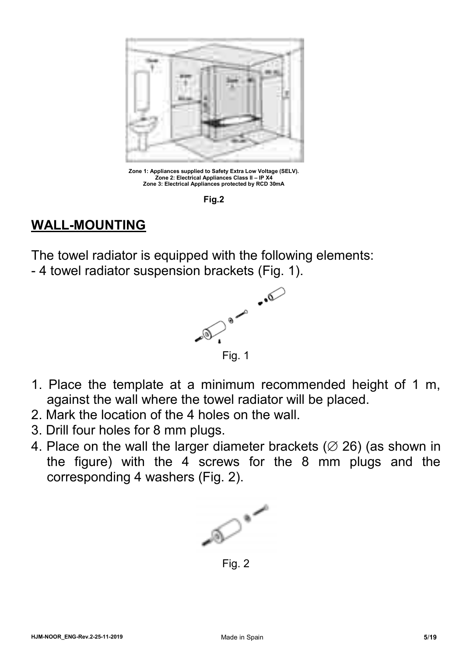

**Zone 1: Appliances supplied to Safety Extra Low Voltage (SELV). Zone 2: Electrical Appliances Class II – IP X4 Zone 3: Electrical Appliances protected by RCD 30mA**

**Fig.2**

### **WALL-MOUNTING**

The towel radiator is equipped with the following elements:

- 4 towel radiator suspension brackets (Fig. 1).



- 1. Place the template at a minimum recommended height of 1 m, against the wall where the towel radiator will be placed.
- 2. Mark the location of the 4 holes on the wall.
- 3. Drill four holes for 8 mm plugs.
- 4. Place on the wall the larger diameter brackets ( $\varnothing$  26) (as shown in the figure) with the 4 screws for the 8 mm plugs and the corresponding 4 washers (Fig. 2).



Fig. 2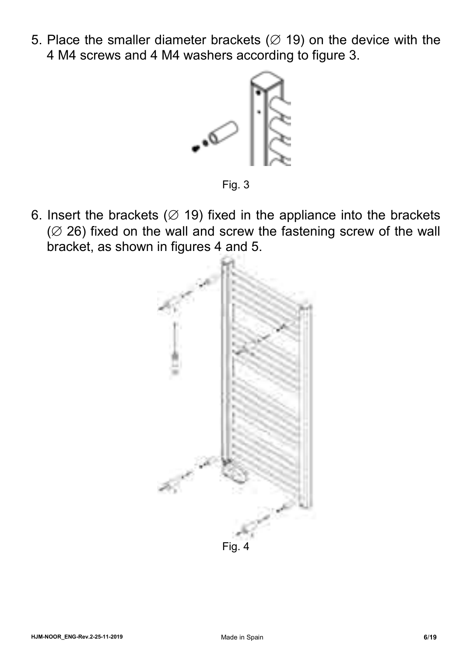5. Place the smaller diameter brackets ( $\varnothing$  19) on the device with the 4 M4 screws and 4 M4 washers according to figure 3.



Fig. 3

6. Insert the brackets ( $\varnothing$  19) fixed in the appliance into the brackets  $(2, 26)$  fixed on the wall and screw the fastening screw of the wall bracket, as shown in figures 4 and 5.

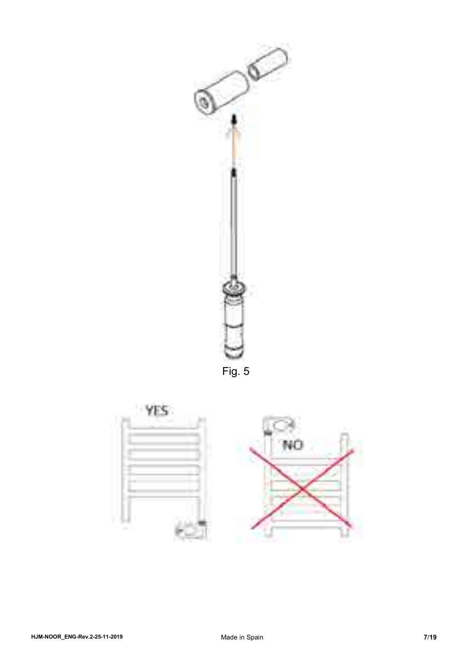

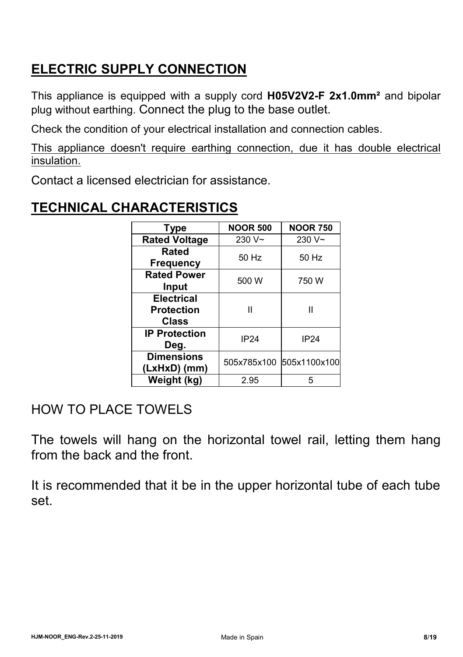### **ELECTRIC SUPPLY CONNECTION**

This appliance is equipped with a supply cord **H05V2V2-F 2x1.0mm²** and bipolar plug without earthing. Connect the plug to the base outlet.

Check the condition of your electrical installation and connection cables.

This appliance doesn't require earthing connection, due it has double electrical insulation.

Contact a licensed electrician for assistance.

# **TECHNICAL CHARACTERISTICS**

| <b>Type</b>                                            | <b>NOOR 500</b> | <b>NOOR 750</b>          |
|--------------------------------------------------------|-----------------|--------------------------|
| <b>Rated Voltage</b>                                   | 230 $V~$        | 230 $V~$                 |
| Rated<br><b>Frequency</b>                              | 50 Hz           | 50 Hz                    |
| <b>Rated Power</b><br>Input                            | 500 W           | 750W                     |
| <b>Electrical</b><br><b>Protection</b><br><b>Class</b> | Ш               | н                        |
| <b>IP Protection</b><br>Deg.                           | <b>IP24</b>     | <b>IP24</b>              |
| <b>Dimensions</b><br>(LxHxD) (mm)                      |                 | 505x785x100 505x1100x100 |
| Weight (kg)                                            | 2.95            | 5                        |

### HOW TO PLACE TOWELS

The towels will hang on the horizontal towel rail, letting them hang from the back and the front.

It is recommended that it be in the upper horizontal tube of each tube set.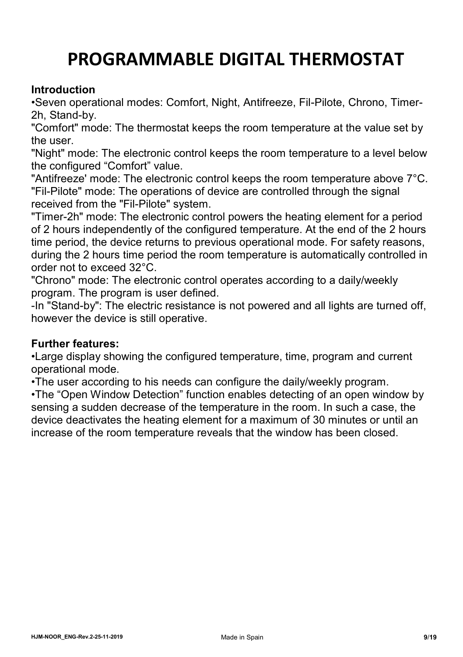# **PROGRAMMABLE DIGITAL THERMOSTAT**

#### **Introduction**

•Seven operational modes: Comfort, Night, Antifreeze, Fil-Pilote, Chrono, Timer-2h, Stand-by.

"Comfort" mode: The thermostat keeps the room temperature at the value set by the user.

"Night" mode: The electronic control keeps the room temperature to a level below the configured "Comfort" value.

"Antifreeze' mode: The electronic control keeps the room temperature above 7°C. "Fil-Pilote" mode: The operations of device are controlled through the signal received from the "Fil-Pilote" system.

"Timer-2h" mode: The electronic control powers the heating element for a period of 2 hours independently of the configured temperature. At the end of the 2 hours time period, the device returns to previous operational mode. For safety reasons, during the 2 hours time period the room temperature is automatically controlled in order not to exceed 32°C.

"Chrono" mode: The electronic control operates according to a daily/weekly program. The program is user defined.

-In "Stand-by": The electric resistance is not powered and all lights are turned off, however the device is still operative.

#### **Further features:**

•Large display showing the configured temperature, time, program and current operational mode.

•The user according to his needs can configure the daily/weekly program.

•The "Open Window Detection" function enables detecting of an open window by sensing a sudden decrease of the temperature in the room. In such a case, the device deactivates the heating element for a maximum of 30 minutes or until an increase of the room temperature reveals that the window has been closed.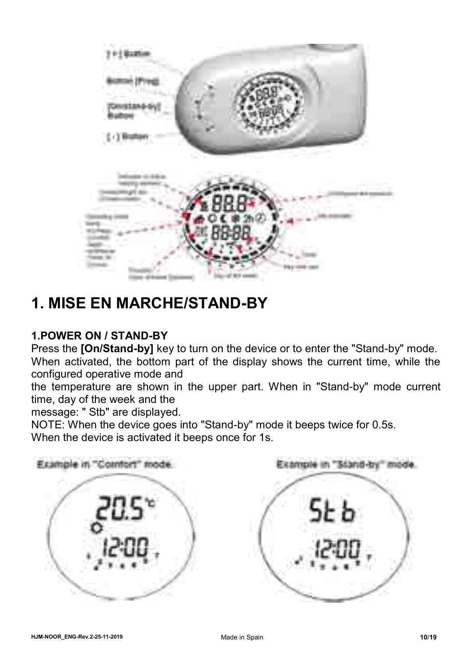

# **1. MISE EN MARCHE/STAND-BY**

#### **1.POWER ON / STAND-BY**

Press the **[On/Stand-by]** key to turn on the device or to enter the "Stand-by" mode.

When activated, the bottom part of the display shows the current time, while the configured operative mode and

the temperature are shown in the upper part. When in "Stand-by" mode current time, day of the week and the

message: " Stb" are displayed.

NOTE: When the device goes into "Stand-by" mode it beeps twice for 0.5s. When the device is activated it beeps once for 1s.

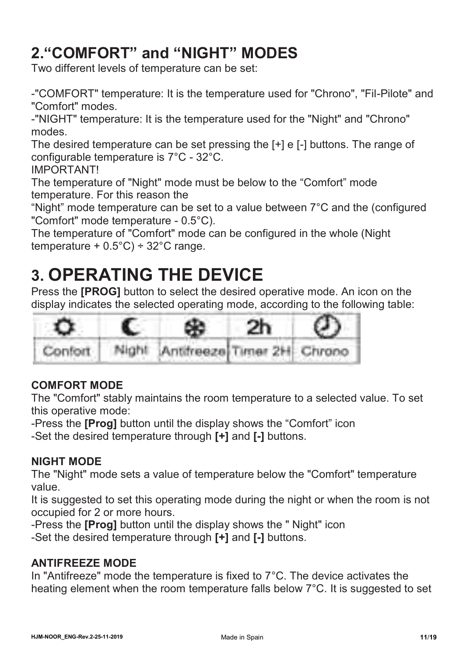# **2."COMFORT" and "NIGHT" MODES**

Two different levels of temperature can be set:

-"COMFORT" temperature: It is the temperature used for "Chrono", "Fil-Pilote" and "Comfort" modes.

-"NIGHT" temperature: It is the temperature used for the "Night" and "Chrono" modes.

The desired temperature can be set pressing the [+] e [-] buttons. The range of configurable temperature is 7°C - 32°C.

IMPORTANT!

The temperature of "Night" mode must be below to the "Comfort" mode temperature. For this reason the

"Night" mode temperature can be set to a value between 7°C and the (configured "Comfort" mode temperature - 0.5°C).

The temperature of "Comfort" mode can be configured in the whole (Night temperature +  $0.5^{\circ}$ C) ÷ 32 $^{\circ}$ C range.

# **3. OPERATING THE DEVICE**

Press the **[PROG]** button to select the desired operative mode. An icon on the display indicates the selected operating mode, according to the following table:



#### **COMFORT MODE**

The "Comfort" stably maintains the room temperature to a selected value. To set this operative mode:

-Press the **[Prog]** button until the display shows the "Comfort" icon -Set the desired temperature through **[+]** and **[-]** buttons.

#### **NIGHT MODE**

The "Night" mode sets a value of temperature below the "Comfort" temperature value.

It is suggested to set this operating mode during the night or when the room is not occupied for 2 or more hours.

-Press the **[Prog]** button until the display shows the " Night" icon

-Set the desired temperature through **[+]** and **[-]** buttons.

#### **ANTIFREEZE MODE**

In "Antifreeze" mode the temperature is fixed to 7°C. The device activates the heating element when the room temperature falls below 7°C. It is suggested to set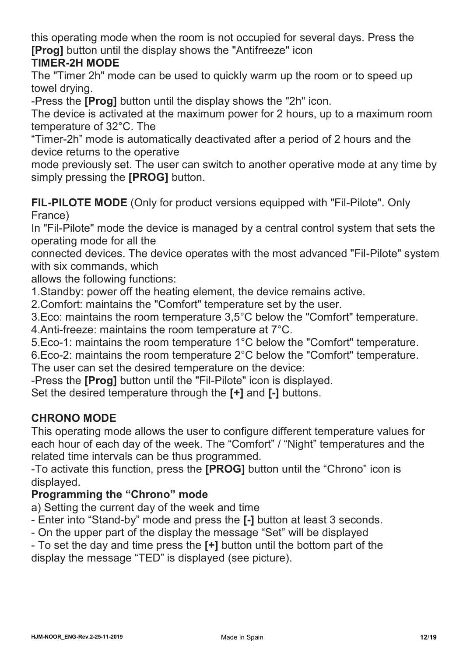this operating mode when the room is not occupied for several days. Press the **[Prog]** button until the display shows the "Antifreeze" icon

#### **TIMER-2H MODE**

The "Timer 2h" mode can be used to quickly warm up the room or to speed up towel drying.

-Press the **[Prog]** button until the display shows the "2h" icon.

The device is activated at the maximum power for 2 hours, up to a maximum room temperature of 32°C. The

"Timer-2h" mode is automatically deactivated after a period of 2 hours and the device returns to the operative

mode previously set. The user can switch to another operative mode at any time by simply pressing the **[PROG]** button.

**FIL-PILOTE MODE** (Only for product versions equipped with "Fil-Pilote". Only France)

In "Fil-Pilote" mode the device is managed by a central control system that sets the operating mode for all the

connected devices. The device operates with the most advanced "Fil-Pilote" system with six commands, which

allows the following functions:

1.Standby: power off the heating element, the device remains active.

2.Comfort: maintains the "Comfort" temperature set by the user.

3.Eco: maintains the room temperature 3,5°C below the "Comfort" temperature.

4.Anti-freeze: maintains the room temperature at 7°C.

5.Eco-1: maintains the room temperature 1°C below the "Comfort" temperature.

6.Eco-2: maintains the room temperature 2°C below the "Comfort" temperature.

The user can set the desired temperature on the device:

-Press the **[Prog]** button until the "Fil-Pilote" icon is displayed.

Set the desired temperature through the **[+]** and **[-]** buttons.

#### **CHRONO MODE**

This operating mode allows the user to configure different temperature values for each hour of each day of the week. The "Comfort" / "Night" temperatures and the related time intervals can be thus programmed.

-To activate this function, press the **[PROG]** button until the "Chrono" icon is displayed.

#### **Programming the "Chrono" mode**

a) Setting the current day of the week and time

- Enter into "Stand-by" mode and press the **[-]** button at least 3 seconds.

- On the upper part of the display the message "Set" will be displayed

- To set the day and time press the **[+]** button until the bottom part of the display the message "TED" is displayed (see picture).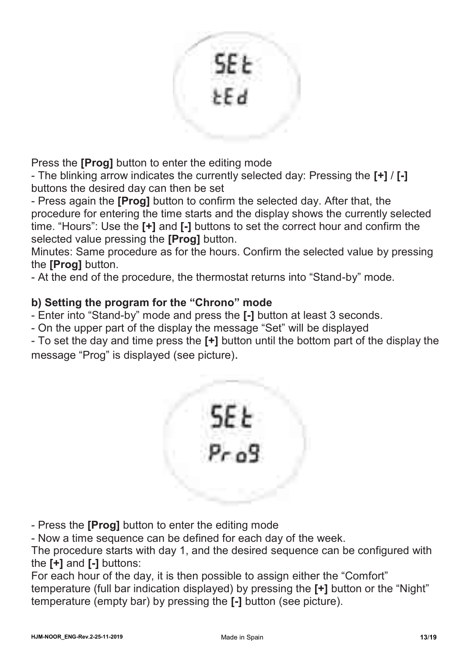

Press the **[Prog]** button to enter the editing mode

- The blinking arrow indicates the currently selected day: Pressing the **[+]** / **[-]**  buttons the desired day can then be set

- Press again the **[Prog]** button to confirm the selected day. After that, the procedure for entering the time starts and the display shows the currently selected time. "Hours": Use the **[+]** and **[-]** buttons to set the correct hour and confirm the selected value pressing the **[Prog]** button.

Minutes: Same procedure as for the hours. Confirm the selected value by pressing the **[Prog]** button.

- At the end of the procedure, the thermostat returns into "Stand-by" mode.

#### **b) Setting the program for the "Chrono" mode**

- Enter into "Stand-by" mode and press the **[-]** button at least 3 seconds.

- On the upper part of the display the message "Set" will be displayed

- To set the day and time press the **[+]** button until the bottom part of the display the message "Prog" is displayed (see picture).



- Press the **[Prog]** button to enter the editing mode

- Now a time sequence can be defined for each day of the week.

The procedure starts with day 1, and the desired sequence can be configured with the **[+]** and **[-]** buttons:

For each hour of the day, it is then possible to assign either the "Comfort" temperature (full bar indication displayed) by pressing the **[+]** button or the "Night" temperature (empty bar) by pressing the **[-]** button (see picture).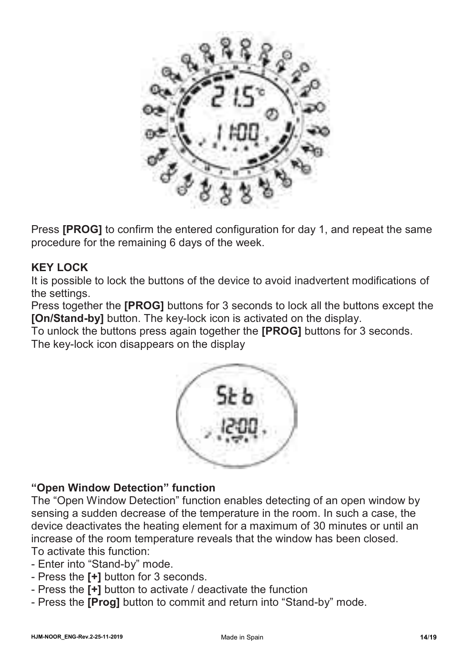

Press **[PROG]** to confirm the entered configuration for day 1, and repeat the same procedure for the remaining 6 days of the week.

#### **KEY LOCK**

It is possible to lock the buttons of the device to avoid inadvertent modifications of the settings.

Press together the **[PROG]** buttons for 3 seconds to lock all the buttons except the **[On/Stand-by]** button. The key-lock icon is activated on the display.

To unlock the buttons press again together the **[PROG]** buttons for 3 seconds.

The key-lock icon disappears on the display



#### **"Open Window Detection" function**

The "Open Window Detection" function enables detecting of an open window by sensing a sudden decrease of the temperature in the room. In such a case, the device deactivates the heating element for a maximum of 30 minutes or until an increase of the room temperature reveals that the window has been closed. To activate this function:

- Enter into "Stand-by" mode.
- Press the **[+]** button for 3 seconds.
- Press the **[+]** button to activate / deactivate the function
- Press the **[Prog]** button to commit and return into "Stand-by" mode.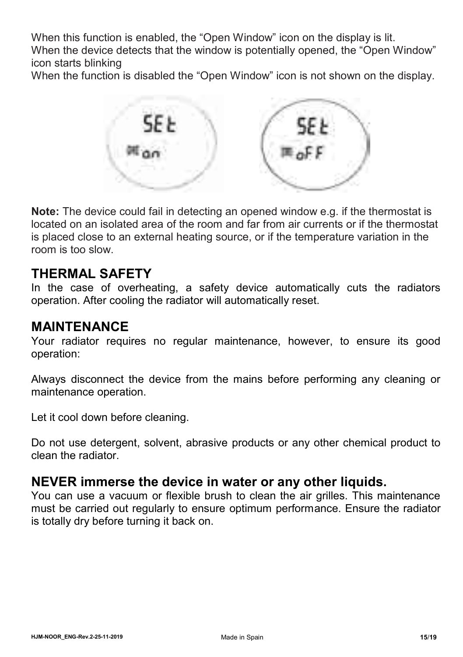When this function is enabled, the "Open Window" icon on the display is lit.

When the device detects that the window is potentially opened, the "Open Window" icon starts blinking

When the function is disabled the "Open Window" icon is not shown on the display.



**Note:** The device could fail in detecting an opened window e.g. if the thermostat is located on an isolated area of the room and far from air currents or if the thermostat is placed close to an external heating source, or if the temperature variation in the room is too slow.

#### **THERMAL SAFETY**

In the case of overheating, a safety device automatically cuts the radiators operation. After cooling the radiator will automatically reset.

#### **MAINTENANCE**

Your radiator requires no regular maintenance, however, to ensure its good operation:

Always disconnect the device from the mains before performing any cleaning or maintenance operation.

Let it cool down before cleaning.

Do not use detergent, solvent, abrasive products or any other chemical product to clean the radiator.

#### **NEVER immerse the device in water or any other liquids.**

You can use a vacuum or flexible brush to clean the air grilles. This maintenance must be carried out regularly to ensure optimum performance. Ensure the radiator is totally dry before turning it back on.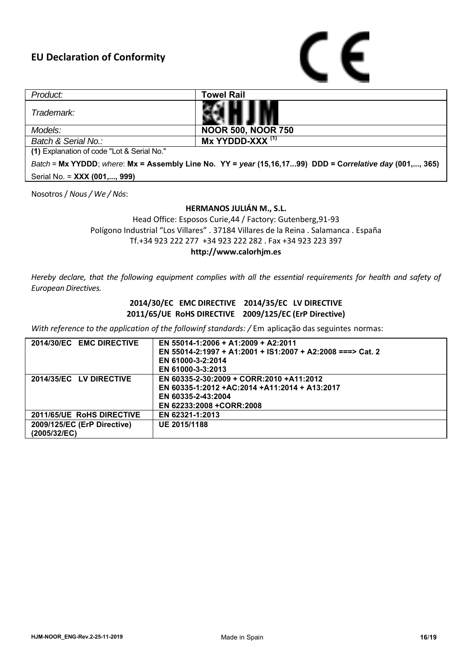

| Product:                                                                                                 | Towel Rail                |  |  |  |
|----------------------------------------------------------------------------------------------------------|---------------------------|--|--|--|
| Trademark:                                                                                               |                           |  |  |  |
| Models:                                                                                                  | <b>NOOR 500, NOOR 750</b> |  |  |  |
| Batch & Serial No.:                                                                                      | $Mx$ YYDDD-XXX $(1)$      |  |  |  |
| (1) Explanation of code "Lot & Serial No."                                                               |                           |  |  |  |
| Batch = Mx YYDDD; where: Mx = Assembly Line No. YY = year (15,16,1799) DDD = Correlative day (001,, 365) |                           |  |  |  |

Serial No. = **XXX (001,..., 999)**

Nosotros / *Nous / We / Nós*:

#### **HERMANOS JULIÁN M., S.L.**

Head Office: Esposos Curie,44 / Factory: Gutenberg,91-93 Polígono Industrial "Los Villares" . 37184 Villares de la Reina . Salamanca . España Tf.+34 923 222 277 +34 923 222 282 . Fax +34 923 223 397 **http://www.calorhjm.es**

*Hereby declare, that the following equipment complies with all the essential requirements for health and safety of European Directives.*

#### **2014/30/EC EMC DIRECTIVE 2014/35/EC LV DIRECTIVE 2011/65/UE RoHS DIRECTIVE 2009/125/EC (ErP Directive)**

*With reference to the application of the followinf standards: /* Em aplicação das seguintes normas:

| 2014/30/EC EMC DIRECTIVE    | EN 55014-1:2006 + A1:2009 + A2:2011                        |
|-----------------------------|------------------------------------------------------------|
|                             | EN 55014-2:1997 + A1:2001 + IS1:2007 + A2:2008 ===> Cat. 2 |
|                             | EN 61000-3-2:2014                                          |
|                             | EN 61000-3-3:2013                                          |
| 2014/35/EC LV DIRECTIVE     | EN 60335-2-30:2009 + CORR:2010 +A11:2012                   |
|                             | EN 60335-1:2012 +AC:2014 +A11:2014 + A13:2017              |
|                             | EN 60335-2-43:2004                                         |
|                             | EN 62233:2008 +CORR:2008                                   |
| 2011/65/UE RoHS DIRECTIVE   | EN 62321-1:2013                                            |
| 2009/125/EC (ErP Directive) | UE 2015/1188                                               |
| (2005/32/EC)                |                                                            |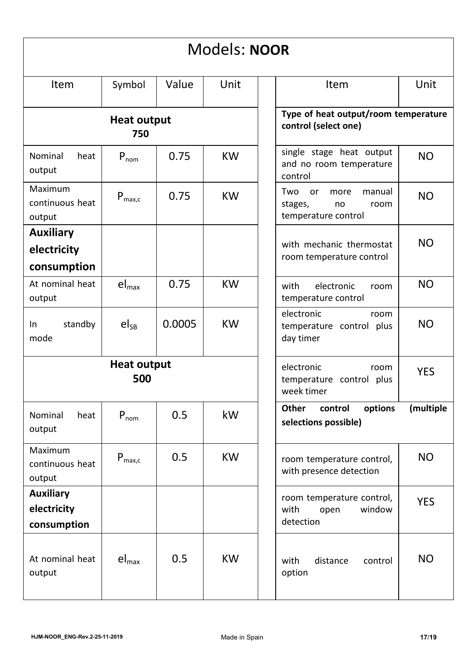| Models: NOOR                                   |                              |                                                                            |                                                              |                                                                                    |
|------------------------------------------------|------------------------------|----------------------------------------------------------------------------|--------------------------------------------------------------|------------------------------------------------------------------------------------|
| <b>Item</b>                                    | Symbol                       | Value                                                                      | Unit                                                         | Unit<br>Item                                                                       |
| <b>Heat output</b><br>750                      |                              |                                                                            | Type of heat output/room temperature<br>control (select one) |                                                                                    |
| Nominal<br>heat<br>output                      | $P_{nom}$                    | 0.75                                                                       | <b>KW</b>                                                    | single stage heat output<br>NO.<br>and no room temperature<br>control              |
| <b>Maximum</b><br>continuous heat<br>output    | $P_{\text{max},c}$           | 0.75                                                                       | <b>KW</b>                                                    | Two<br>or<br>manual<br>more<br>NO.<br>stages,<br>room<br>no<br>temperature control |
| <b>Auxiliary</b><br>electricity<br>consumption |                              |                                                                            |                                                              | <b>NO</b><br>with mechanic thermostat<br>room temperature control                  |
| At nominal heat<br>output                      | $el_{max}$                   | 0.75                                                                       | <b>KW</b>                                                    | NO.<br>with<br>electronic<br>room<br>temperature control                           |
| standby<br>In<br>mode                          | $el_{SB}$                    | 0.0005                                                                     | <b>KW</b>                                                    | electronic<br>room<br>NO<br>temperature control plus<br>day timer                  |
| <b>Heat output</b><br>500                      |                              | electronic<br>room<br><b>YES</b><br>temperature control plus<br>week timer |                                                              |                                                                                    |
| Nominal<br>heat<br>output                      | $P_{nom}$                    | 0.5                                                                        | kW                                                           | (multiple<br>Other<br>options<br>control<br>selections possible)                   |
| Maximum<br>continuous heat<br>output           | $P_{\text{max.c}}$           | 0.5                                                                        | <b>KW</b>                                                    | NO.<br>room temperature control,<br>with presence detection                        |
| <b>Auxiliary</b><br>electricity<br>consumption |                              |                                                                            |                                                              | room temperature control,<br><b>YES</b><br>with<br>window<br>open<br>detection     |
| At nominal heat<br>output                      | $\mathsf{el}_{\mathsf{max}}$ | 0.5                                                                        | <b>KW</b>                                                    | ΝO<br>with<br>distance<br>control<br>option                                        |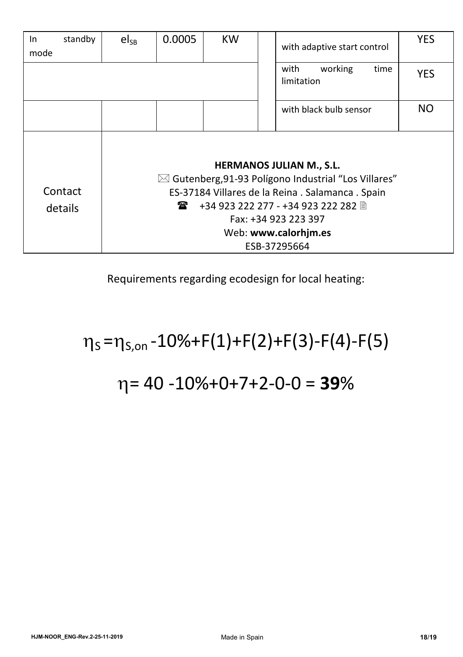| standby<br>In<br>mode | $el_{SB}$                                                                                                                                                                                                                    | 0.0005 | <b>KW</b> |  | with adaptive start control           | <b>YES</b> |
|-----------------------|------------------------------------------------------------------------------------------------------------------------------------------------------------------------------------------------------------------------------|--------|-----------|--|---------------------------------------|------------|
|                       |                                                                                                                                                                                                                              |        |           |  | working<br>with<br>time<br>limitation | <b>YES</b> |
|                       |                                                                                                                                                                                                                              |        |           |  | with black bulb sensor                | NO         |
| Contact<br>details    | <b>HERMANOS JULIAN M., S.L.</b><br>$\boxtimes$ Gutenberg, 91-93 Polígono Industrial "Los Villares"<br>ES-37184 Villares de la Reina . Salamanca . Spain<br>金<br>Fax: +34 923 223 397<br>Web: www.calorhim.es<br>ESB-37295664 |        |           |  |                                       |            |

Requirements regarding ecodesign for local heating:

# $\eta_s = \eta_{s,on} - 10\% + F(1) + F(2) + F(3) - F(4) - F(5)$

# = 40 -10%+0+7+2-0-0 = **39**%